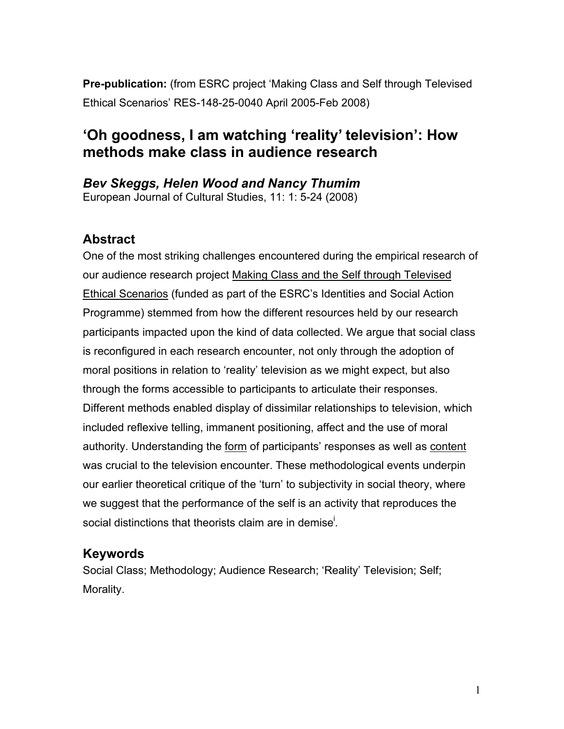**Pre-publication:** (from ESRC project 'Making Class and Self through Televised Ethical Scenarios' RES-148-25-0040 April 2005-Feb 2008)

# **'Oh goodness, I am watching 'reality' television': How methods make class in audience research**

*Bev Skeggs, Helen Wood and Nancy Thumim* European Journal of Cultural Studies, 11: 1: 5-24 (2008)

# **Abstract**

One of the most striking challenges encountered during the empirical research of our audience research project Making Class and the Self through Televised Ethical Scenarios (funded as part of the ESRC's Identities and Social Action Programme) stemmed from how the different resources held by our research participants impacted upon the kind of data collected. We argue that social class is reconfigured in each research encounter, not only through the adoption of moral positions in relation to 'reality' television as we might expect, but also through the forms accessible to participants to articulate their responses. Different methods enabled display of dissimilar relationships to television, which included reflexive telling, immanent positioning, affect and the use of moral authority. Understanding the form of participants' responses as well as content was crucial to the television encounter. These methodological events underpin our earlier theoretical critique of the 'turn' to subjectivity in social theory, where we suggest that the performance of the self is an activity that reproduces the social distinctions that theorists claim are in demise<sup>i</sup>.

# **Keywords**

Social Class; Methodology; Audience Research; 'Reality' Television; Self; Morality.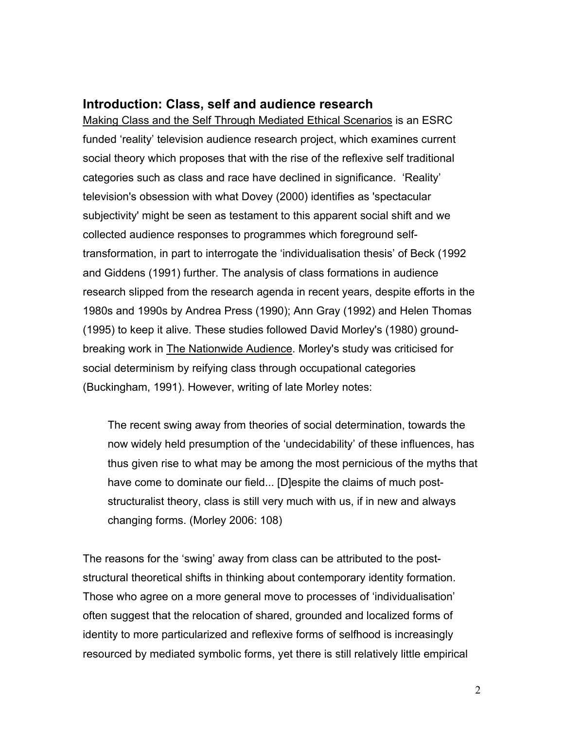### **Introduction: Class, self and audience research**

Making Class and the Self Through Mediated Ethical Scenarios is an ESRC funded 'reality' television audience research project, which examines current social theory which proposes that with the rise of the reflexive self traditional categories such as class and race have declined in significance. 'Reality' television's obsession with what Dovey (2000) identifies as 'spectacular subjectivity' might be seen as testament to this apparent social shift and we collected audience responses to programmes which foreground selftransformation, in part to interrogate the 'individualisation thesis' of Beck (1992 and Giddens (1991) further. The analysis of class formations in audience research slipped from the research agenda in recent years, despite efforts in the 1980s and 1990s by Andrea Press (1990); Ann Gray (1992) and Helen Thomas (1995) to keep it alive. These studies followed David Morley's (1980) groundbreaking work in The Nationwide Audience. Morley's study was criticised for social determinism by reifying class through occupational categories (Buckingham, 1991). However, writing of late Morley notes:

The recent swing away from theories of social determination, towards the now widely held presumption of the 'undecidability' of these influences, has thus given rise to what may be among the most pernicious of the myths that have come to dominate our field... [D]espite the claims of much poststructuralist theory, class is still very much with us, if in new and always changing forms. (Morley 2006: 108)

The reasons for the 'swing' away from class can be attributed to the poststructural theoretical shifts in thinking about contemporary identity formation. Those who agree on a more general move to processes of 'individualisation' often suggest that the relocation of shared, grounded and localized forms of identity to more particularized and reflexive forms of selfhood is increasingly resourced by mediated symbolic forms, yet there is still relatively little empirical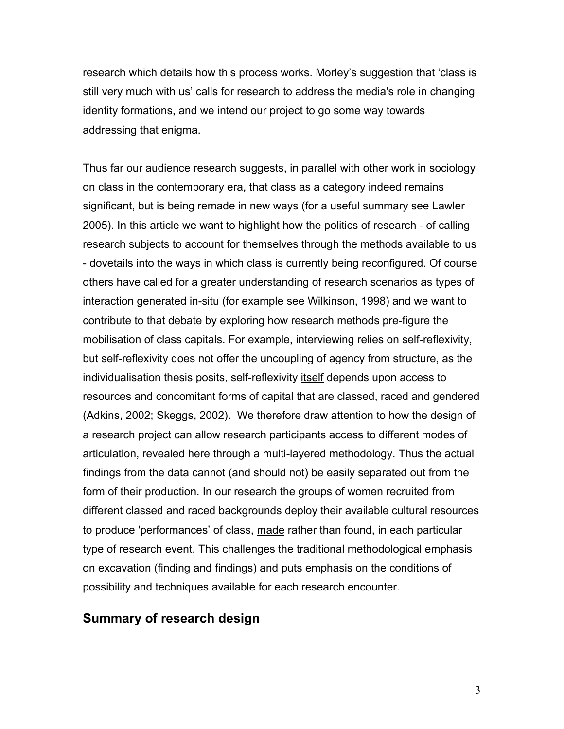research which details how this process works. Morley's suggestion that 'class is still very much with us' calls for research to address the media's role in changing identity formations, and we intend our project to go some way towards addressing that enigma.

Thus far our audience research suggests, in parallel with other work in sociology on class in the contemporary era, that class as a category indeed remains significant, but is being remade in new ways (for a useful summary see Lawler 2005). In this article we want to highlight how the politics of research - of calling research subjects to account for themselves through the methods available to us - dovetails into the ways in which class is currently being reconfigured. Of course others have called for a greater understanding of research scenarios as types of interaction generated in-situ (for example see Wilkinson, 1998) and we want to contribute to that debate by exploring how research methods pre-figure the mobilisation of class capitals. For example, interviewing relies on self-reflexivity, but self-reflexivity does not offer the uncoupling of agency from structure, as the individualisation thesis posits, self-reflexivity itself depends upon access to resources and concomitant forms of capital that are classed, raced and gendered (Adkins, 2002; Skeggs, 2002). We therefore draw attention to how the design of a research project can allow research participants access to different modes of articulation, revealed here through a multi-layered methodology. Thus the actual findings from the data cannot (and should not) be easily separated out from the form of their production. In our research the groups of women recruited from different classed and raced backgrounds deploy their available cultural resources to produce 'performances' of class, made rather than found, in each particular type of research event. This challenges the traditional methodological emphasis on excavation (finding and findings) and puts emphasis on the conditions of possibility and techniques available for each research encounter.

## **Summary of research design**

3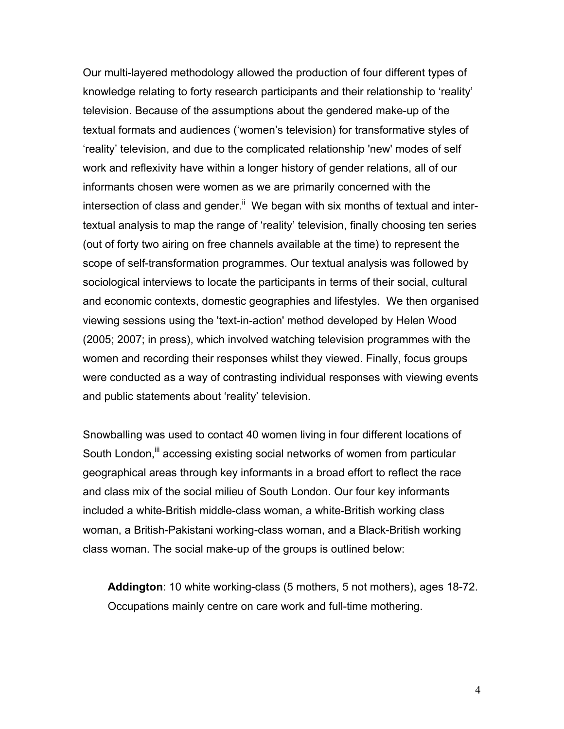Our multi-layered methodology allowed the production of four different types of knowledge relating to forty research participants and their relationship to 'reality' television. Because of the assumptions about the gendered make-up of the textual formats and audiences ('women's television) for transformative styles of 'reality' television, and due to the complicated relationship 'new' modes of self work and reflexivity have within a longer history of gender relations, all of our informants chosen were women as we are primarily concerned with the intersection of class and gender. $\mathbb{I}$  We began with six months of textual and intertextual analysis to map the range of 'reality' television, finally choosing ten series (out of forty two airing on free channels available at the time) to represent the scope of self-transformation programmes. Our textual analysis was followed by sociological interviews to locate the participants in terms of their social, cultural and economic contexts, domestic geographies and lifestyles. We then organised viewing sessions using the 'text-in-action' method developed by Helen Wood (2005; 2007; in press), which involved watching television programmes with the women and recording their responses whilst they viewed. Finally, focus groups were conducted as a way of contrasting individual responses with viewing events and public statements about 'reality' television.

Snowballing was used to contact 40 women living in four different locations of South London,<sup>iii</sup> accessing existing social networks of women from particular geographical areas through key informants in a broad effort to reflect the race and class mix of the social milieu of South London. Our four key informants included a white-British middle-class woman, a white-British working class woman, a British-Pakistani working-class woman, and a Black-British working class woman. The social make-up of the groups is outlined below:

**Addington**: 10 white working-class (5 mothers, 5 not mothers), ages 18-72. Occupations mainly centre on care work and full-time mothering.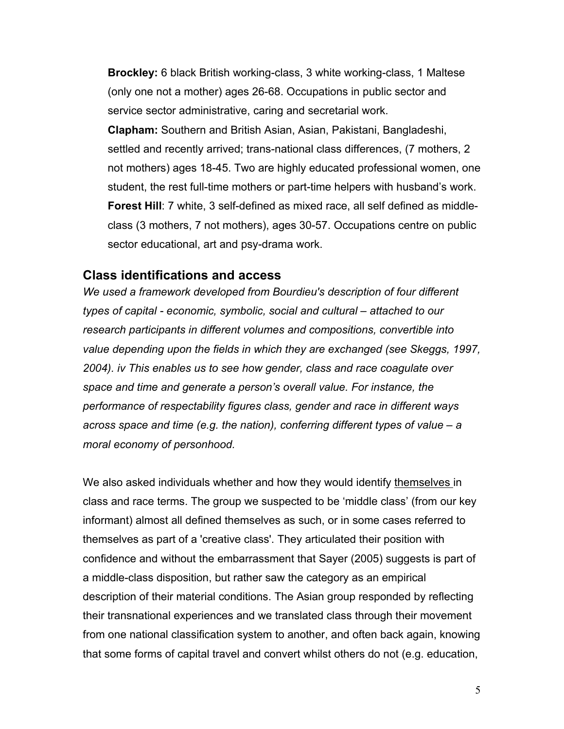**Brockley:** 6 black British working-class, 3 white working-class, 1 Maltese (only one not a mother) ages 26-68. Occupations in public sector and service sector administrative, caring and secretarial work. **Clapham:** Southern and British Asian, Asian, Pakistani, Bangladeshi, settled and recently arrived; trans-national class differences, (7 mothers, 2 not mothers) ages 18-45. Two are highly educated professional women, one student, the rest full-time mothers or part-time helpers with husband's work. **Forest Hill**: 7 white, 3 self-defined as mixed race, all self defined as middleclass (3 mothers, 7 not mothers), ages 30-57. Occupations centre on public sector educational, art and psy-drama work.

#### **Class identifications and access**

*We used a framework developed from Bourdieu's description of four different types of capital - economic, symbolic, social and cultural – attached to our research participants in different volumes and compositions, convertible into*  value depending upon the fields in which they are exchanged (see Skeggs, 1997, *2004). [iv](#page-26-3) This enables us to see how gender, class and race coagulate over space and time and generate a person's overall value. For instance, the performance of respectability figures class, gender and race in different ways across space and time (e.g. the nation), conferring different types of value – a moral economy of personhood.* 

We also asked individuals whether and how they would identify themselves in class and race terms. The group we suspected to be 'middle class' (from our key informant) almost all defined themselves as such, or in some cases referred to themselves as part of a 'creative class'. They articulated their position with confidence and without the embarrassment that Sayer (2005) suggests is part of a middle-class disposition, but rather saw the category as an empirical description of their material conditions. The Asian group responded by reflecting their transnational experiences and we translated class through their movement from one national classification system to another, and often back again, knowing that some forms of capital travel and convert whilst others do not (e.g. education,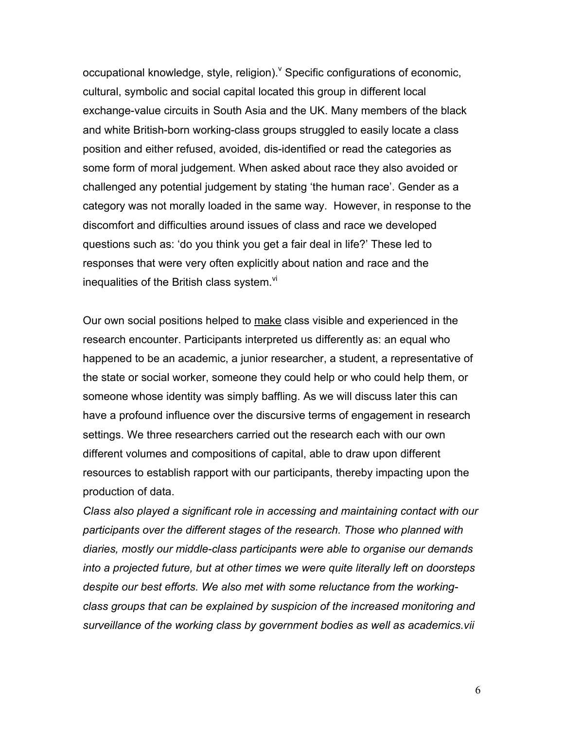occupational knowledge, style, religion).  $^{\vee}$  Specific configurations of economic, cultural, symbolic and social capital located this group in different local exchange-value circuits in South Asia and the UK. Many members of the black and white British-born working-class groups struggled to easily locate a class position and either refused, avoided, dis-identified or read the categories as some form of moral judgement. When asked about race they also avoided or challenged any potential judgement by stating 'the human race'. Gender as a category was not morally loaded in the same way. However, in response to the discomfort and difficulties around issues of class and race we developed questions such as: 'do you think you get a fair deal in life?' These led to responses that were very often explicitly about nation and race and the inequalities of the British class system.<sup>vi</sup>

Our own social positions helped to make class visible and experienced in the research encounter. Participants interpreted us differently as: an equal who happened to be an academic, a junior researcher, a student, a representative of the state or social worker, someone they could help or who could help them, or someone whose identity was simply baffling. As we will discuss later this can have a profound influence over the discursive terms of engagement in research settings. We three researchers carried out the research each with our own different volumes and compositions of capital, able to draw upon different resources to establish rapport with our participants, thereby impacting upon the production of data.

*Class also played a significant role in accessing and maintaining contact with our participants over the different stages of the research. Those who planned with diaries, mostly our middle-class participants were able to organise our demands into a projected future, but at other times we were quite literally left on doorsteps despite our best efforts. We also met with some reluctance from the workingclass groups that can be explained by suspicion of the increased monitoring and surveillance of the working class by government bodies as well as academics.[vii](#page-26-6)*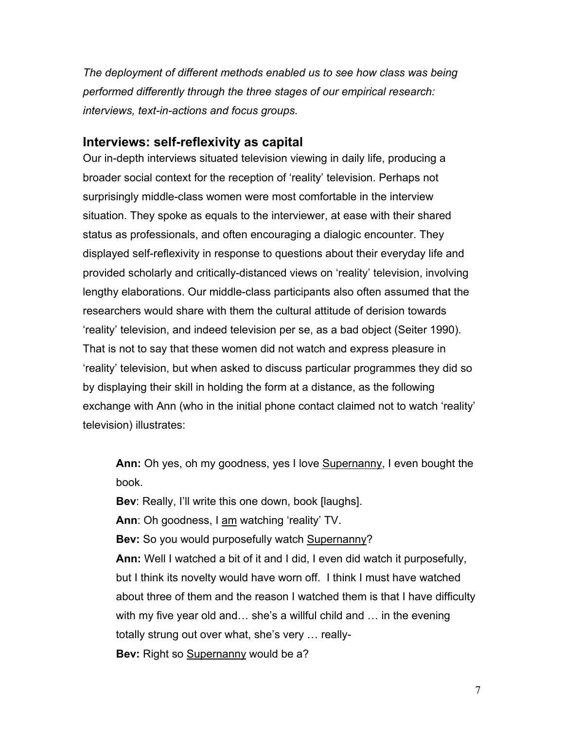*The deployment of different methods enabled us to see how class was being performed differently through the three stages of our empirical research: interviews, text-in-actions and focus groups.* 

## **Interviews: self-reflexivity as capital**

Our in-depth interviews situated television viewing in daily life, producing a broader social context for the reception of 'reality' television. Perhaps not surprisingly middle-class women were most comfortable in the interview situation. They spoke as equals to the interviewer, at ease with their shared status as professionals, and often encouraging a dialogic encounter. They displayed self-reflexivity in response to questions about their everyday life and provided scholarly and critically-distanced views on 'reality' television, involving lengthy elaborations. Our middle-class participants also often assumed that the researchers would share with them the cultural attitude of derision towards 'reality' television, and indeed television per se, as a bad object (Seiter 1990). That is not to say that these women did not watch and express pleasure in 'reality' television, but when asked to discuss particular programmes they did so by displaying their skill in holding the form at a distance, as the following exchange with Ann (who in the initial phone contact claimed not to watch 'reality' television) illustrates:

**Ann:** Oh yes, oh my goodness, yes I love Supernanny, I even bought the book.

**Bev**: Really, I'll write this one down, book [laughs]. **Ann**: Oh goodness, I am watching 'reality' TV. Bev: So you would purposefully watch Supernanny? **Ann:** Well I watched a bit of it and I did, I even did watch it purposefully, but I think its novelty would have worn off. I think I must have watched about three of them and the reason I watched them is that I have difficulty with my five year old and… she's a willful child and … in the evening totally strung out over what, she's very … really-**Bev:** Right so Supernanny would be a?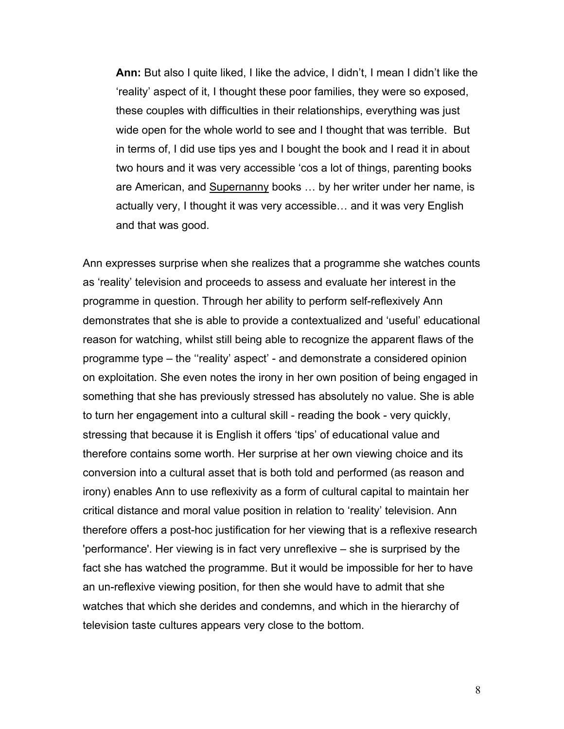**Ann:** But also I quite liked, I like the advice, I didn't, I mean I didn't like the 'reality' aspect of it, I thought these poor families, they were so exposed, these couples with difficulties in their relationships, everything was just wide open for the whole world to see and I thought that was terrible. But in terms of, I did use tips yes and I bought the book and I read it in about two hours and it was very accessible 'cos a lot of things, parenting books are American, and Supernanny books … by her writer under her name, is actually very, I thought it was very accessible… and it was very English and that was good.

Ann expresses surprise when she realizes that a programme she watches counts as 'reality' television and proceeds to assess and evaluate her interest in the programme in question. Through her ability to perform self-reflexively Ann demonstrates that she is able to provide a contextualized and 'useful' educational reason for watching, whilst still being able to recognize the apparent flaws of the programme type – the ''reality' aspect' - and demonstrate a considered opinion on exploitation. She even notes the irony in her own position of being engaged in something that she has previously stressed has absolutely no value. She is able to turn her engagement into a cultural skill - reading the book - very quickly, stressing that because it is English it offers 'tips' of educational value and therefore contains some worth. Her surprise at her own viewing choice and its conversion into a cultural asset that is both told and performed (as reason and irony) enables Ann to use reflexivity as a form of cultural capital to maintain her critical distance and moral value position in relation to 'reality' television. Ann therefore offers a post-hoc justification for her viewing that is a reflexive research 'performance'. Her viewing is in fact very unreflexive – she is surprised by the fact she has watched the programme. But it would be impossible for her to have an un-reflexive viewing position, for then she would have to admit that she watches that which she derides and condemns, and which in the hierarchy of television taste cultures appears very close to the bottom.

8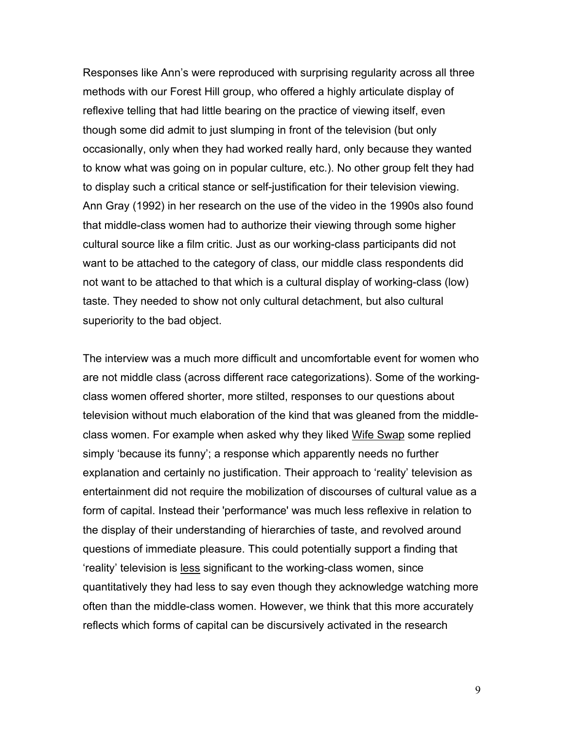Responses like Ann's were reproduced with surprising regularity across all three methods with our Forest Hill group, who offered a highly articulate display of reflexive telling that had little bearing on the practice of viewing itself, even though some did admit to just slumping in front of the television (but only occasionally, only when they had worked really hard, only because they wanted to know what was going on in popular culture, etc.). No other group felt they had to display such a critical stance or self-justification for their television viewing. Ann Gray (1992) in her research on the use of the video in the 1990s also found that middle-class women had to authorize their viewing through some higher cultural source like a film critic. Just as our working-class participants did not want to be attached to the category of class, our middle class respondents did not want to be attached to that which is a cultural display of working-class (low) taste. They needed to show not only cultural detachment, but also cultural superiority to the bad object.

The interview was a much more difficult and uncomfortable event for women who are not middle class (across different race categorizations). Some of the workingclass women offered shorter, more stilted, responses to our questions about television without much elaboration of the kind that was gleaned from the middleclass women. For example when asked why they liked Wife Swap some replied simply 'because its funny'; a response which apparently needs no further explanation and certainly no justification. Their approach to 'reality' television as entertainment did not require the mobilization of discourses of cultural value as a form of capital. Instead their 'performance' was much less reflexive in relation to the display of their understanding of hierarchies of taste, and revolved around questions of immediate pleasure. This could potentially support a finding that 'reality' television is less significant to the working-class women, since quantitatively they had less to say even though they acknowledge watching more often than the middle-class women. However, we think that this more accurately reflects which forms of capital can be discursively activated in the research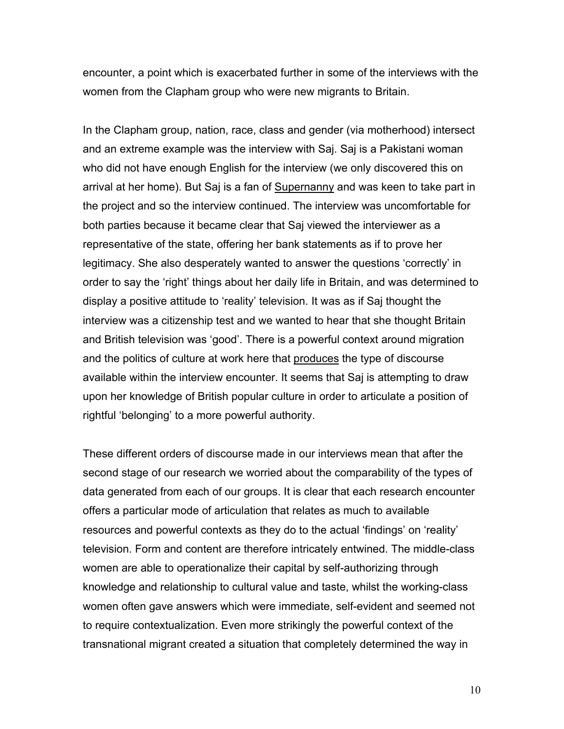encounter, a point which is exacerbated further in some of the interviews with the women from the Clapham group who were new migrants to Britain.

In the Clapham group, nation, race, class and gender (via motherhood) intersect and an extreme example was the interview with Saj. Saj is a Pakistani woman who did not have enough English for the interview (we only discovered this on arrival at her home). But Saj is a fan of Supernanny and was keen to take part in the project and so the interview continued. The interview was uncomfortable for both parties because it became clear that Saj viewed the interviewer as a representative of the state, offering her bank statements as if to prove her legitimacy. She also desperately wanted to answer the questions 'correctly' in order to say the 'right' things about her daily life in Britain, and was determined to display a positive attitude to 'reality' television. It was as if Saj thought the interview was a citizenship test and we wanted to hear that she thought Britain and British television was 'good'. There is a powerful context around migration and the politics of culture at work here that produces the type of discourse available within the interview encounter. It seems that Saj is attempting to draw upon her knowledge of British popular culture in order to articulate a position of rightful 'belonging' to a more powerful authority.

These different orders of discourse made in our interviews mean that after the second stage of our research we worried about the comparability of the types of data generated from each of our groups. It is clear that each research encounter offers a particular mode of articulation that relates as much to available resources and powerful contexts as they do to the actual 'findings' on 'reality' television. Form and content are therefore intricately entwined. The middle-class women are able to operationalize their capital by self-authorizing through knowledge and relationship to cultural value and taste, whilst the working-class women often gave answers which were immediate, self-evident and seemed not to require contextualization. Even more strikingly the powerful context of the transnational migrant created a situation that completely determined the way in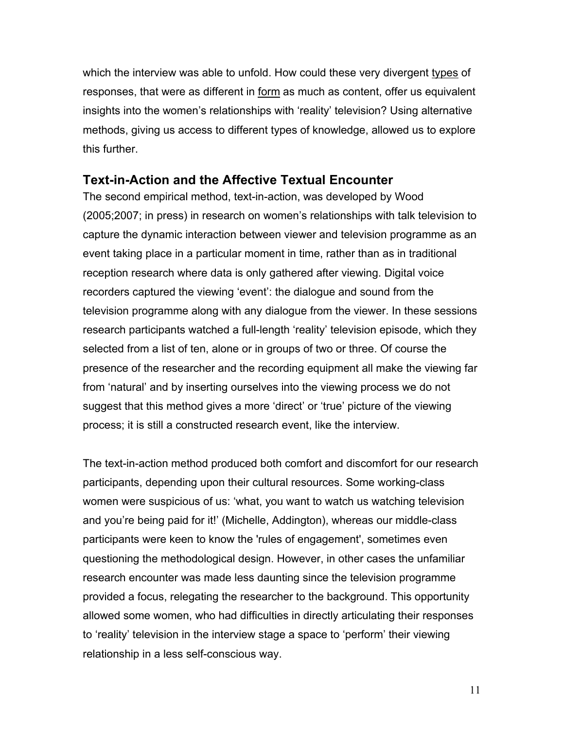which the interview was able to unfold. How could these very divergent types of responses, that were as different in form as much as content, offer us equivalent insights into the women's relationships with 'reality' television? Using alternative methods, giving us access to different types of knowledge, allowed us to explore this further.

#### **Text-in-Action and the Affective Textual Encounter**

The second empirical method, text-in-action, was developed by Wood (2005;2007; in press) in research on women's relationships with talk television to capture the dynamic interaction between viewer and television programme as an event taking place in a particular moment in time, rather than as in traditional reception research where data is only gathered after viewing. Digital voice recorders captured the viewing 'event': the dialogue and sound from the television programme along with any dialogue from the viewer. In these sessions research participants watched a full-length 'reality' television episode, which they selected from a list of ten, alone or in groups of two or three. Of course the presence of the researcher and the recording equipment all make the viewing far from 'natural' and by inserting ourselves into the viewing process we do not suggest that this method gives a more 'direct' or 'true' picture of the viewing process; it is still a constructed research event, like the interview.

The text-in-action method produced both comfort and discomfort for our research participants, depending upon their cultural resources. Some working-class women were suspicious of us: 'what, you want to watch us watching television and you're being paid for it!' (Michelle, Addington), whereas our middle-class participants were keen to know the 'rules of engagement', sometimes even questioning the methodological design. However, in other cases the unfamiliar research encounter was made less daunting since the television programme provided a focus, relegating the researcher to the background. This opportunity allowed some women, who had difficulties in directly articulating their responses to 'reality' television in the interview stage a space to 'perform' their viewing relationship in a less self-conscious way.

11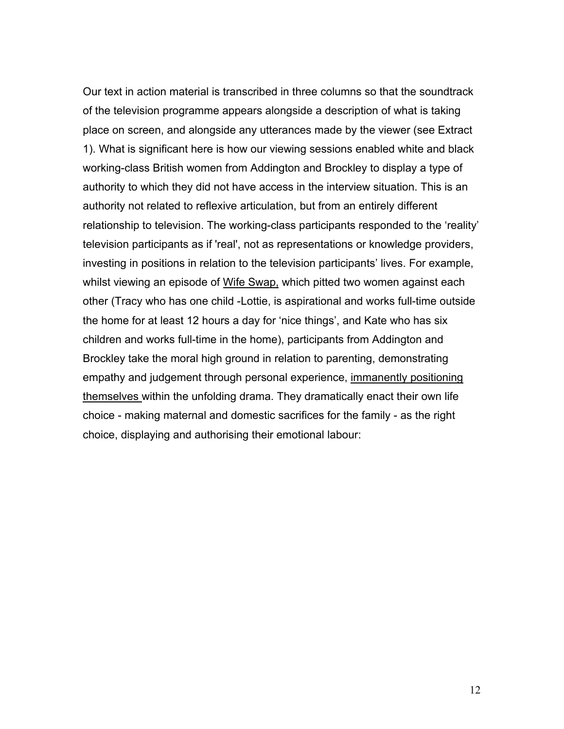Our text in action material is transcribed in three columns so that the soundtrack of the television programme appears alongside a description of what is taking place on screen, and alongside any utterances made by the viewer (see Extract 1). What is significant here is how our viewing sessions enabled white and black working-class British women from Addington and Brockley to display a type of authority to which they did not have access in the interview situation. This is an authority not related to reflexive articulation, but from an entirely different relationship to television. The working-class participants responded to the 'reality' television participants as if 'real', not as representations or knowledge providers, investing in positions in relation to the television participants' lives. For example, whilst viewing an episode of Wife Swap, which pitted two women against each other (Tracy who has one child -Lottie, is aspirational and works full-time outside the home for at least 12 hours a day for 'nice things', and Kate who has six children and works full-time in the home), participants from Addington and Brockley take the moral high ground in relation to parenting, demonstrating empathy and judgement through personal experience, immanently positioning themselves within the unfolding drama. They dramatically enact their own life choice - making maternal and domestic sacrifices for the family - as the right choice, displaying and authorising their emotional labour: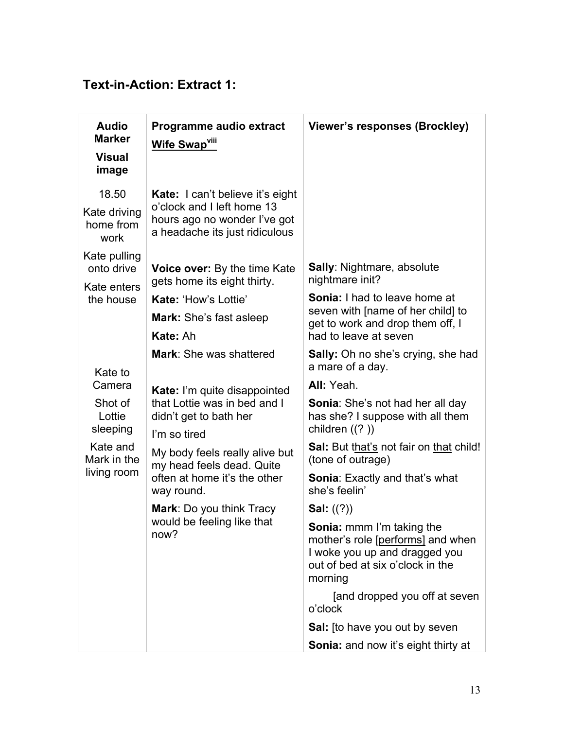# **Text-in-Action: Extract 1:**

| <b>Audio</b><br><b>Marker</b><br><b>Visual</b><br>image                                                                                                | Programme audio extract<br>Wife Swap <sup>vill</sup>                                                                                                                                                                                                                                                                                                                                                               | <b>Viewer's responses (Brockley)</b>                                                                                                   |
|--------------------------------------------------------------------------------------------------------------------------------------------------------|--------------------------------------------------------------------------------------------------------------------------------------------------------------------------------------------------------------------------------------------------------------------------------------------------------------------------------------------------------------------------------------------------------------------|----------------------------------------------------------------------------------------------------------------------------------------|
| 18.50<br>Kate driving<br>home from<br>work                                                                                                             | <b>Kate:</b> I can't believe it's eight<br>o'clock and I left home 13<br>hours ago no wonder l've got<br>a headache its just ridiculous                                                                                                                                                                                                                                                                            |                                                                                                                                        |
| Kate pulling<br>onto drive<br>Kate enters<br>the house<br>Kate to<br>Camera<br>Shot of<br>Lottie<br>sleeping<br>Kate and<br>Mark in the<br>living room | <b>Voice over:</b> By the time Kate<br>gets home its eight thirty.                                                                                                                                                                                                                                                                                                                                                 | <b>Sally: Nightmare, absolute</b><br>nightmare init?                                                                                   |
|                                                                                                                                                        | <b>Kate: 'How's Lottie'</b><br><b>Mark:</b> She's fast asleep<br>Kate: Ah<br><b>Mark:</b> She was shattered<br><b>Kate:</b> I'm quite disappointed<br>that Lottie was in bed and I<br>didn't get to bath her<br>I'm so tired<br>My body feels really alive but<br>my head feels dead. Quite<br>often at home it's the other<br>way round.<br><b>Mark:</b> Do you think Tracy<br>would be feeling like that<br>now? | <b>Sonia:</b> I had to leave home at<br>seven with [name of her child] to<br>get to work and drop them off, I<br>had to leave at seven |
|                                                                                                                                                        |                                                                                                                                                                                                                                                                                                                                                                                                                    | <b>Sally:</b> Oh no she's crying, she had<br>a mare of a day.                                                                          |
|                                                                                                                                                        |                                                                                                                                                                                                                                                                                                                                                                                                                    | All: Yeah.<br><b>Sonia:</b> She's not had her all day<br>has she? I suppose with all them<br>children $((?)$                           |
|                                                                                                                                                        |                                                                                                                                                                                                                                                                                                                                                                                                                    | Sal: But that's not fair on that child!<br>(tone of outrage)                                                                           |
|                                                                                                                                                        |                                                                                                                                                                                                                                                                                                                                                                                                                    | <b>Sonia: Exactly and that's what</b><br>she's feelin'                                                                                 |
|                                                                                                                                                        |                                                                                                                                                                                                                                                                                                                                                                                                                    | <b>Sal:</b> $((?)$<br>Sonia: mmm I'm taking the<br>mother's role [performs] and when<br>I woke you up and dragged you                  |
|                                                                                                                                                        |                                                                                                                                                                                                                                                                                                                                                                                                                    | out of bed at six o'clock in the<br>morning<br>[and dropped you off at seven                                                           |
|                                                                                                                                                        |                                                                                                                                                                                                                                                                                                                                                                                                                    | o'clock<br><b>Sal:</b> [to have you out by seven                                                                                       |
|                                                                                                                                                        |                                                                                                                                                                                                                                                                                                                                                                                                                    | <b>Sonia:</b> and now it's eight thirty at                                                                                             |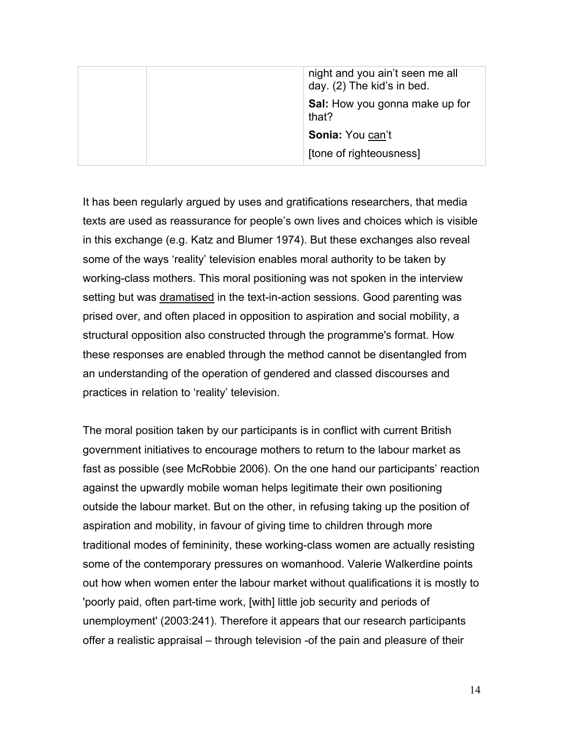| night and you ain't seen me all<br>day. (2) The kid's in bed. |
|---------------------------------------------------------------|
| <b>Sal:</b> How you gonna make up for<br>that?                |
| <b>Sonia: You can't</b>                                       |
| [tone of righteousness]                                       |
|                                                               |

It has been regularly argued by uses and gratifications researchers, that media texts are used as reassurance for people's own lives and choices which is visible in this exchange (e.g. Katz and Blumer 1974). But these exchanges also reveal some of the ways 'reality' television enables moral authority to be taken by working-class mothers. This moral positioning was not spoken in the interview setting but was dramatised in the text-in-action sessions. Good parenting was prised over, and often placed in opposition to aspiration and social mobility, a structural opposition also constructed through the programme's format. How these responses are enabled through the method cannot be disentangled from an understanding of the operation of gendered and classed discourses and practices in relation to 'reality' television.

The moral position taken by our participants is in conflict with current British government initiatives to encourage mothers to return to the labour market as fast as possible (see McRobbie 2006). On the one hand our participants' reaction against the upwardly mobile woman helps legitimate their own positioning outside the labour market. But on the other, in refusing taking up the position of aspiration and mobility, in favour of giving time to children through more traditional modes of femininity, these working-class women are actually resisting some of the contemporary pressures on womanhood. Valerie Walkerdine points out how when women enter the labour market without qualifications it is mostly to 'poorly paid, often part-time work, [with] little job security and periods of unemployment' (2003:241). Therefore it appears that our research participants offer a realistic appraisal – through television -of the pain and pleasure of their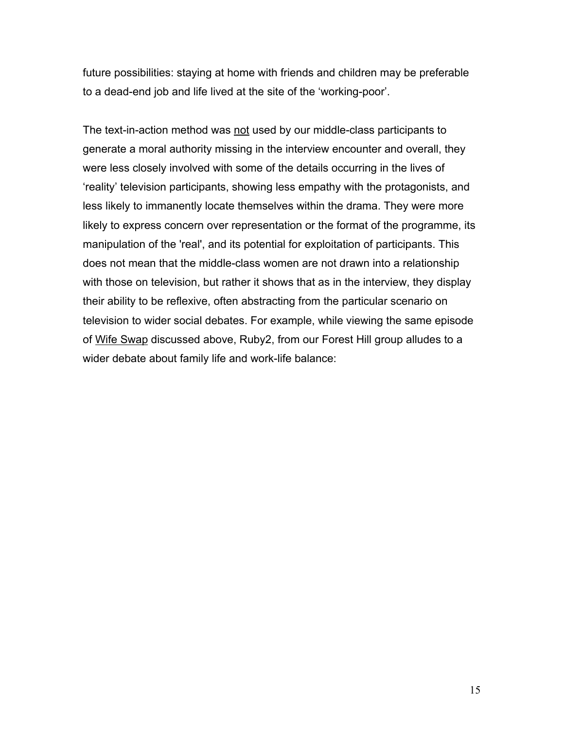future possibilities: staying at home with friends and children may be preferable to a dead-end job and life lived at the site of the 'working-poor'.

The text-in-action method was not used by our middle-class participants to generate a moral authority missing in the interview encounter and overall, they were less closely involved with some of the details occurring in the lives of 'reality' television participants, showing less empathy with the protagonists, and less likely to immanently locate themselves within the drama. They were more likely to express concern over representation or the format of the programme, its manipulation of the 'real', and its potential for exploitation of participants. This does not mean that the middle-class women are not drawn into a relationship with those on television, but rather it shows that as in the interview, they display their ability to be reflexive, often abstracting from the particular scenario on television to wider social debates. For example, while viewing the same episode of Wife Swap discussed above, Ruby2, from our Forest Hill group alludes to a wider debate about family life and work-life balance: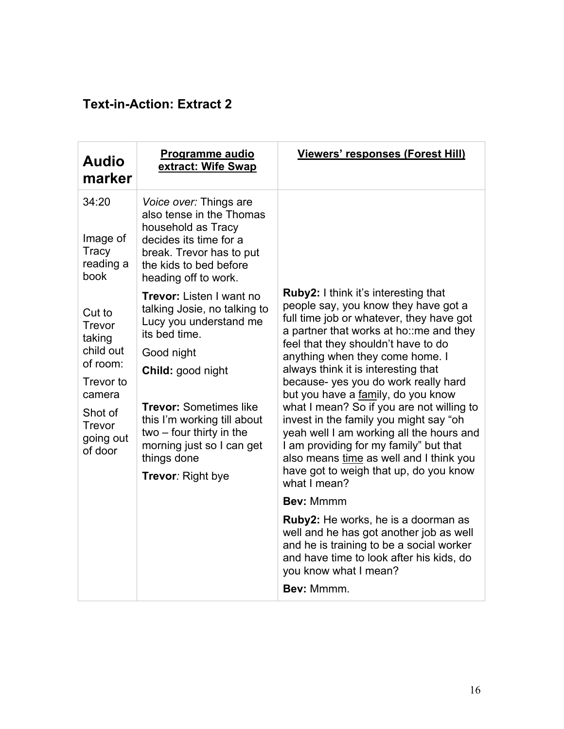# **Text-in-Action: Extract 2**

| <b>Audio</b><br>marker                                                                                                  | Programme audio<br>extract: Wife Swap                                                                                                                                                                                                                                                                      | <b>Viewers' responses (Forest Hill)</b>                                                                                                                                                                                                                                                                                                                                                                                                                                                                                                                                                                                                                                                                                                                                                                                                                                                   |
|-------------------------------------------------------------------------------------------------------------------------|------------------------------------------------------------------------------------------------------------------------------------------------------------------------------------------------------------------------------------------------------------------------------------------------------------|-------------------------------------------------------------------------------------------------------------------------------------------------------------------------------------------------------------------------------------------------------------------------------------------------------------------------------------------------------------------------------------------------------------------------------------------------------------------------------------------------------------------------------------------------------------------------------------------------------------------------------------------------------------------------------------------------------------------------------------------------------------------------------------------------------------------------------------------------------------------------------------------|
| 34:20<br>Image of<br>Tracy<br>reading a<br>book                                                                         | Voice over: Things are<br>also tense in the Thomas<br>household as Tracy<br>decides its time for a<br>break. Trevor has to put<br>the kids to bed before<br>heading off to work.                                                                                                                           | <b>Ruby2:</b> I think it's interesting that<br>people say, you know they have got a<br>full time job or whatever, they have got<br>a partner that works at ho: me and they<br>feel that they shouldn't have to do<br>anything when they come home. I<br>always think it is interesting that<br>because- yes you do work really hard<br>but you have a family, do you know<br>what I mean? So if you are not willing to<br>invest in the family you might say "oh<br>yeah well I am working all the hours and<br>I am providing for my family" but that<br>also means time as well and I think you<br>have got to weigh that up, do you know<br>what I mean?<br><b>Bev: Mmmm</b><br><b>Ruby2:</b> He works, he is a doorman as<br>well and he has got another job as well<br>and he is training to be a social worker<br>and have time to look after his kids, do<br>you know what I mean? |
| Cut to<br>Trevor<br>taking<br>child out<br>of room:<br>Trevor to<br>camera<br>Shot of<br>Trevor<br>going out<br>of door | <b>Trevor:</b> Listen I want no<br>talking Josie, no talking to<br>Lucy you understand me<br>its bed time.<br>Good night<br>Child: good night<br><b>Trevor: Sometimes like</b><br>this I'm working till about<br>two – four thirty in the<br>morning just so I can get<br>things done<br>Trevor: Right bye |                                                                                                                                                                                                                                                                                                                                                                                                                                                                                                                                                                                                                                                                                                                                                                                                                                                                                           |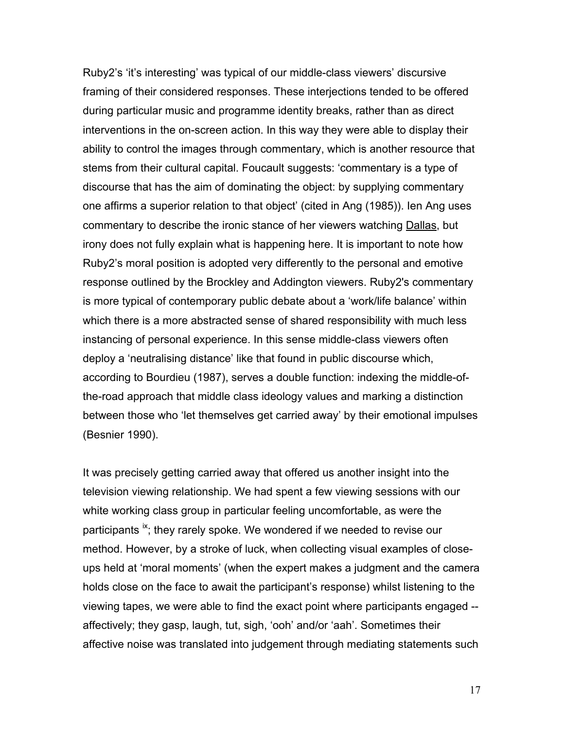Ruby2's 'it's interesting' was typical of our middle-class viewers' discursive framing of their considered responses. These interjections tended to be offered during particular music and programme identity breaks, rather than as direct interventions in the on-screen action. In this way they were able to display their ability to control the images through commentary, which is another resource that stems from their cultural capital. Foucault suggests: 'commentary is a type of discourse that has the aim of dominating the object: by supplying commentary one affirms a superior relation to that object' (cited in Ang (1985)). Ien Ang uses commentary to describe the ironic stance of her viewers watching Dallas, but irony does not fully explain what is happening here. It is important to note how Ruby2's moral position is adopted very differently to the personal and emotive response outlined by the Brockley and Addington viewers. Ruby2's commentary is more typical of contemporary public debate about a 'work/life balance' within which there is a more abstracted sense of shared responsibility with much less instancing of personal experience. In this sense middle-class viewers often deploy a 'neutralising distance' like that found in public discourse which, according to Bourdieu (1987), serves a double function: indexing the middle-ofthe-road approach that middle class ideology values and marking a distinction between those who 'let themselves get carried away' by their emotional impulses (Besnier 1990).

It was precisely getting carried away that offered us another insight into the television viewing relationship. We had spent a few viewing sessions with our white working class group in particular feeling uncomfortable, as were the participants <sup>ix</sup>; they rarely spoke. We wondered if we needed to revise our method. However, by a stroke of luck, when collecting visual examples of closeups held at 'moral moments' (when the expert makes a judgment and the camera holds close on the face to await the participant's response) whilst listening to the viewing tapes, we were able to find the exact point where participants engaged - affectively; they gasp, laugh, tut, sigh, 'ooh' and/or 'aah'. Sometimes their affective noise was translated into judgement through mediating statements such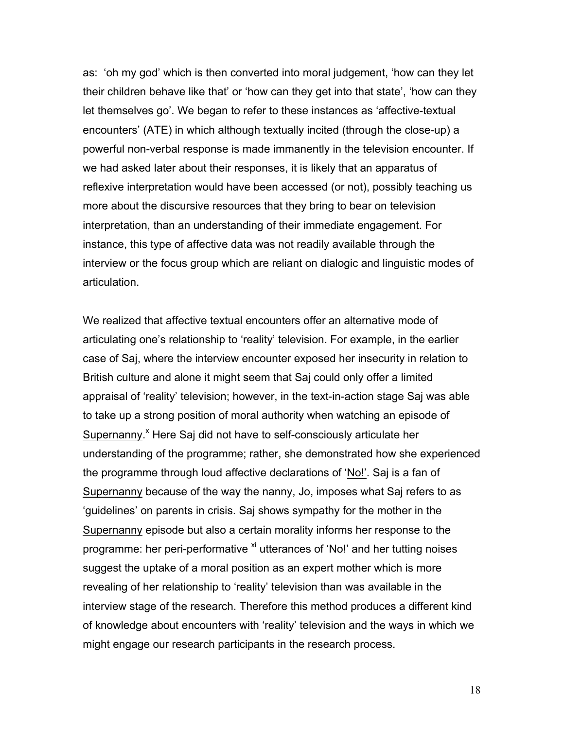as: 'oh my god' which is then converted into moral judgement, 'how can they let their children behave like that' or 'how can they get into that state', 'how can they let themselves go'. We began to refer to these instances as 'affective-textual encounters' (ATE) in which although textually incited (through the close-up) a powerful non-verbal response is made immanently in the television encounter. If we had asked later about their responses, it is likely that an apparatus of reflexive interpretation would have been accessed (or not), possibly teaching us more about the discursive resources that they bring to bear on television interpretation, than an understanding of their immediate engagement. For instance, this type of affective data was not readily available through the interview or the focus group which are reliant on dialogic and linguistic modes of articulation.

We realized that affective textual encounters offer an alternative mode of articulating one's relationship to 'reality' television. For example, in the earlier case of Saj, where the interview encounter exposed her insecurity in relation to British culture and alone it might seem that Saj could only offer a limited appraisal of 'reality' television; however, in the text-in-action stage Saj was able to take up a strong position of moral authority when watching an episode of Supernanny.<sup>[x](#page-26-9)</sup> Here Saj did not have to self-consciously articulate her understanding of the programme; rather, she demonstrated how she experienced the programme through loud affective declarations of 'No!'. Saj is a fan of Supernanny because of the way the nanny, Jo, imposes what Saj refers to as 'guidelines' on parents in crisis. Saj shows sympathy for the mother in the Supernanny episode but also a certain morality informs her response to the programme: her peri-performative <sup>xi</sup> utterances of 'No!' and her tutting noises suggest the uptake of a moral position as an expert mother which is more revealing of her relationship to 'reality' television than was available in the interview stage of the research. Therefore this method produces a different kind of knowledge about encounters with 'reality' television and the ways in which we might engage our research participants in the research process.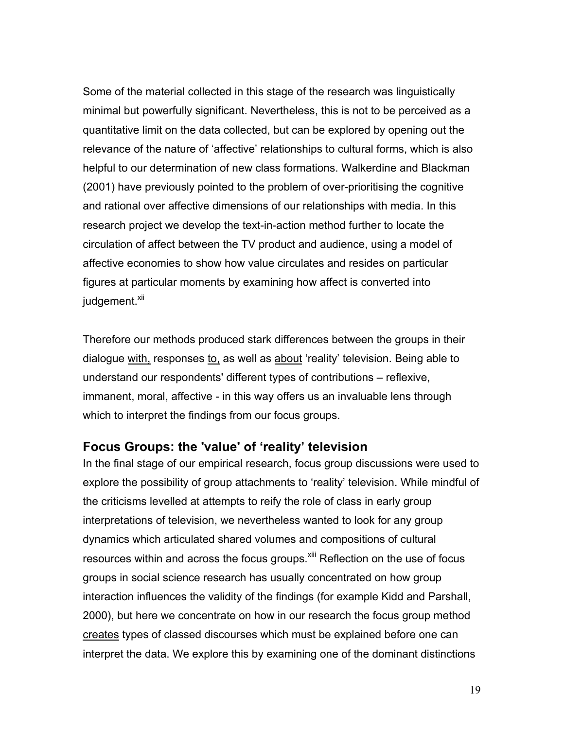Some of the material collected in this stage of the research was linguistically minimal but powerfully significant. Nevertheless, this is not to be perceived as a quantitative limit on the data collected, but can be explored by opening out the relevance of the nature of 'affective' relationships to cultural forms, which is also helpful to our determination of new class formations. Walkerdine and Blackman (2001) have previously pointed to the problem of over-prioritising the cognitive and rational over affective dimensions of our relationships with media. In this research project we develop the text-in-action method further to locate the circulation of affect between the TV product and audience, using a model of affective economies to show how value circulates and resides on particular figures at particular moments by examining how affect is converted into judgement.<sup>[xii](#page-26-11)</sup>

Therefore our methods produced stark differences between the groups in their dialogue with, responses to, as well as about 'reality' television. Being able to understand our respondents' different types of contributions – reflexive, immanent, moral, affective - in this way offers us an invaluable lens through which to interpret the findings from our focus groups.

## **Focus Groups: the 'value' of 'reality' television**

In the final stage of our empirical research, focus group discussions were used to explore the possibility of group attachments to 'reality' television. While mindful of the criticisms levelled at attempts to reify the role of class in early group interpretations of television, we nevertheless wanted to look for any group dynamics which articulated shared volumes and compositions of cultural resources within and across the focus groups.<sup>xiii</sup> Reflection on the use of focus groups in social science research has usually concentrated on how group interaction influences the validity of the findings (for example Kidd and Parshall, 2000), but here we concentrate on how in our research the focus group method creates types of classed discourses which must be explained before one can interpret the data. We explore this by examining one of the dominant distinctions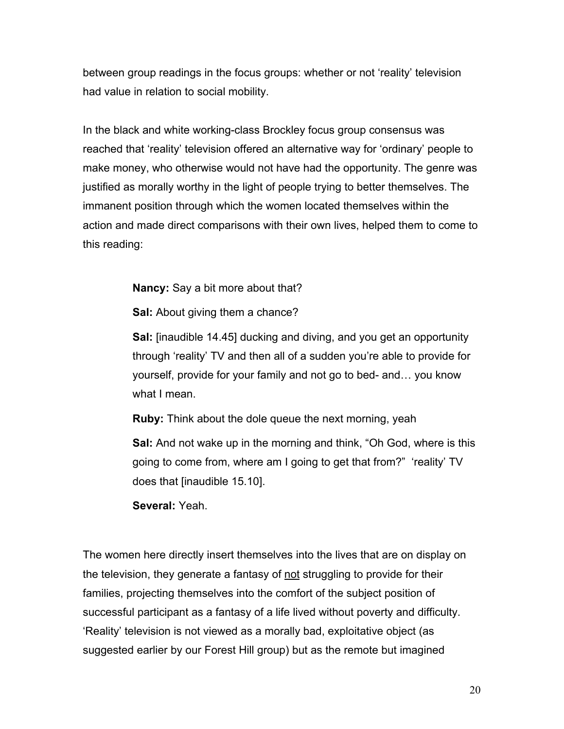between group readings in the focus groups: whether or not 'reality' television had value in relation to social mobility.

In the black and white working-class Brockley focus group consensus was reached that 'reality' television offered an alternative way for 'ordinary' people to make money, who otherwise would not have had the opportunity. The genre was justified as morally worthy in the light of people trying to better themselves. The immanent position through which the women located themselves within the action and made direct comparisons with their own lives, helped them to come to this reading:

**Nancy:** Say a bit more about that?

**Sal:** About giving them a chance?

**Sal:** [inaudible 14.45] ducking and diving, and you get an opportunity through 'reality' TV and then all of a sudden you're able to provide for yourself, provide for your family and not go to bed- and… you know what I mean.

**Ruby:** Think about the dole queue the next morning, yeah

**Sal:** And not wake up in the morning and think, "Oh God, where is this going to come from, where am I going to get that from?" 'reality' TV does that [inaudible 15.10].

**Several:** Yeah.

The women here directly insert themselves into the lives that are on display on the television, they generate a fantasy of not struggling to provide for their families, projecting themselves into the comfort of the subject position of successful participant as a fantasy of a life lived without poverty and difficulty. 'Reality' television is not viewed as a morally bad, exploitative object (as suggested earlier by our Forest Hill group) but as the remote but imagined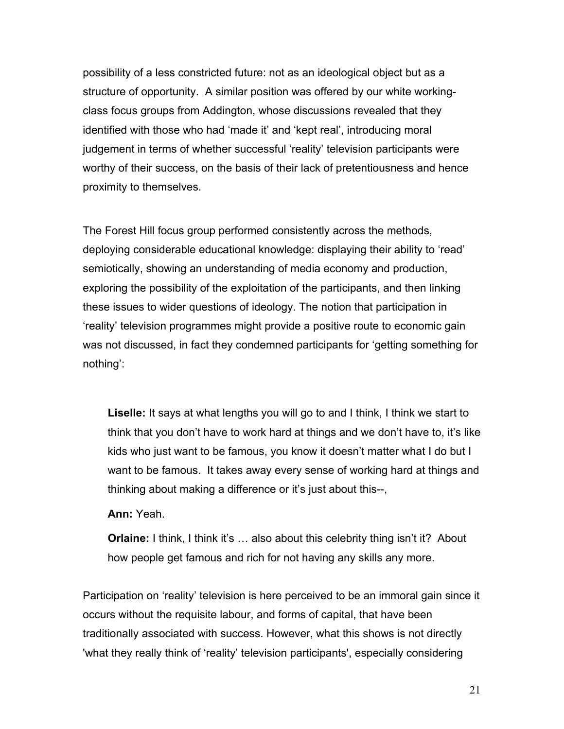possibility of a less constricted future: not as an ideological object but as a structure of opportunity. A similar position was offered by our white workingclass focus groups from Addington, whose discussions revealed that they identified with those who had 'made it' and 'kept real', introducing moral judgement in terms of whether successful 'reality' television participants were worthy of their success, on the basis of their lack of pretentiousness and hence proximity to themselves.

The Forest Hill focus group performed consistently across the methods, deploying considerable educational knowledge: displaying their ability to 'read' semiotically, showing an understanding of media economy and production, exploring the possibility of the exploitation of the participants, and then linking these issues to wider questions of ideology. The notion that participation in 'reality' television programmes might provide a positive route to economic gain was not discussed, in fact they condemned participants for 'getting something for nothing':

**Liselle:** It says at what lengths you will go to and I think, I think we start to think that you don't have to work hard at things and we don't have to, it's like kids who just want to be famous, you know it doesn't matter what I do but I want to be famous. It takes away every sense of working hard at things and thinking about making a difference or it's just about this--,

#### **Ann:** Yeah.

**Orlaine:** I think, I think it's … also about this celebrity thing isn't it? About how people get famous and rich for not having any skills any more.

Participation on 'reality' television is here perceived to be an immoral gain since it occurs without the requisite labour, and forms of capital, that have been traditionally associated with success. However, what this shows is not directly 'what they really think of 'reality' television participants', especially considering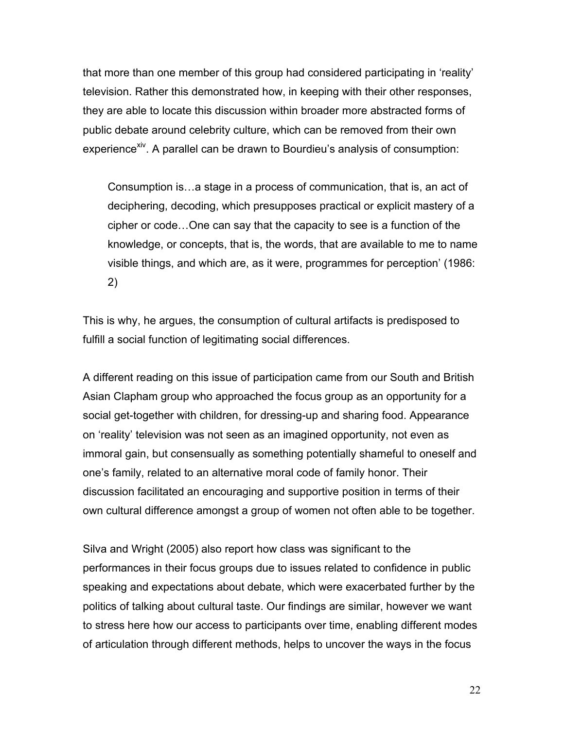that more than one member of this group had considered participating in 'reality' television. Rather this demonstrated how, in keeping with their other responses, they are able to locate this discussion within broader more abstracted forms of public debate around celebrity culture, which can be removed from their own experience<sup>[xiv](#page-26-13)</sup>. A parallel can be drawn to Bourdieu's analysis of consumption:

Consumption is…a stage in a process of communication, that is, an act of deciphering, decoding, which presupposes practical or explicit mastery of a cipher or code…One can say that the capacity to see is a function of the knowledge, or concepts, that is, the words, that are available to me to name visible things, and which are, as it were, programmes for perception' (1986: 2)

This is why, he argues, the consumption of cultural artifacts is predisposed to fulfill a social function of legitimating social differences.

A different reading on this issue of participation came from our South and British Asian Clapham group who approached the focus group as an opportunity for a social get-together with children, for dressing-up and sharing food. Appearance on 'reality' television was not seen as an imagined opportunity, not even as immoral gain, but consensually as something potentially shameful to oneself and one's family, related to an alternative moral code of family honor. Their discussion facilitated an encouraging and supportive position in terms of their own cultural difference amongst a group of women not often able to be together.

Silva and Wright (2005) also report how class was significant to the performances in their focus groups due to issues related to confidence in public speaking and expectations about debate, which were exacerbated further by the politics of talking about cultural taste. Our findings are similar, however we want to stress here how our access to participants over time, enabling different modes of articulation through different methods, helps to uncover the ways in the focus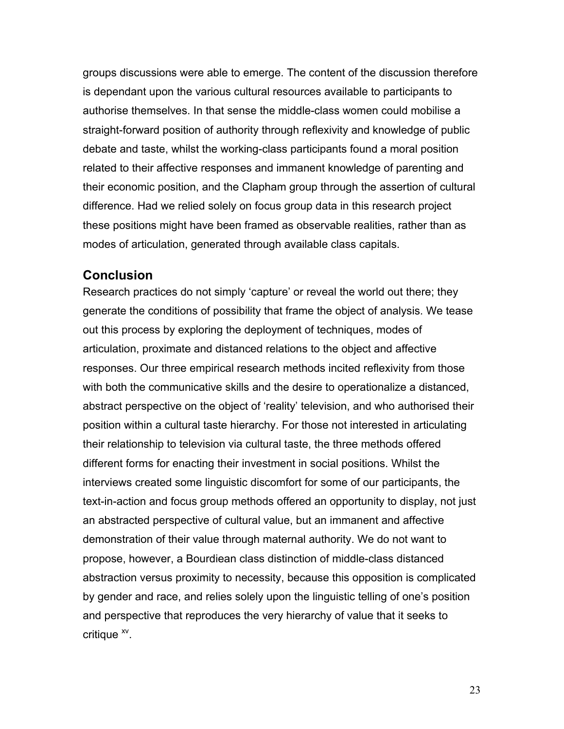groups discussions were able to emerge. The content of the discussion therefore is dependant upon the various cultural resources available to participants to authorise themselves. In that sense the middle-class women could mobilise a straight-forward position of authority through reflexivity and knowledge of public debate and taste, whilst the working-class participants found a moral position related to their affective responses and immanent knowledge of parenting and their economic position, and the Clapham group through the assertion of cultural difference. Had we relied solely on focus group data in this research project these positions might have been framed as observable realities, rather than as modes of articulation, generated through available class capitals.

#### **Conclusion**

Research practices do not simply 'capture' or reveal the world out there; they generate the conditions of possibility that frame the object of analysis. We tease out this process by exploring the deployment of techniques, modes of articulation, proximate and distanced relations to the object and affective responses. Our three empirical research methods incited reflexivity from those with both the communicative skills and the desire to operationalize a distanced, abstract perspective on the object of 'reality' television, and who authorised their position within a cultural taste hierarchy. For those not interested in articulating their relationship to television via cultural taste, the three methods offered different forms for enacting their investment in social positions. Whilst the interviews created some linguistic discomfort for some of our participants, the text-in-action and focus group methods offered an opportunity to display, not just an abstracted perspective of cultural value, but an immanent and affective demonstration of their value through maternal authority. We do not want to propose, however, a Bourdiean class distinction of middle-class distanced abstraction versus proximity to necessity, because this opposition is complicated by gender and race, and relies solely upon the linguistic telling of one's position and perspective that reproduces the very hierarchy of value that it seeks to critique  $^{x}$ .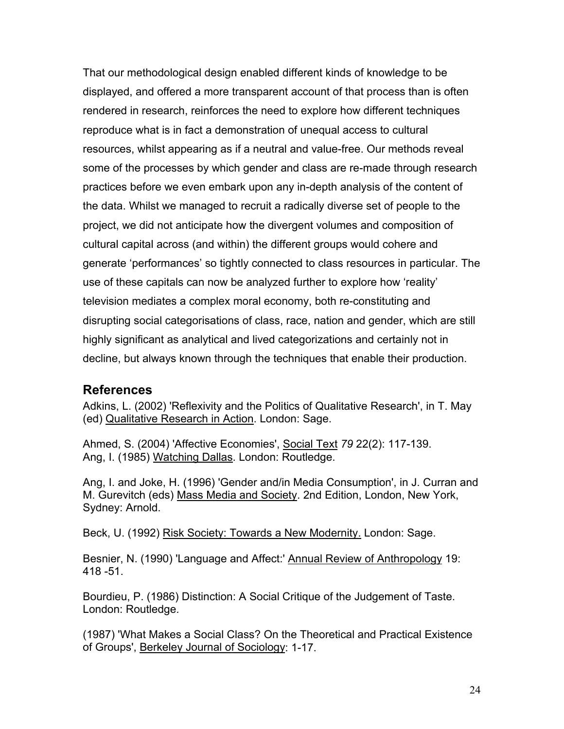That our methodological design enabled different kinds of knowledge to be displayed, and offered a more transparent account of that process than is often rendered in research, reinforces the need to explore how different techniques reproduce what is in fact a demonstration of unequal access to cultural resources, whilst appearing as if a neutral and value-free. Our methods reveal some of the processes by which gender and class are re-made through research practices before we even embark upon any in-depth analysis of the content of the data. Whilst we managed to recruit a radically diverse set of people to the project, we did not anticipate how the divergent volumes and composition of cultural capital across (and within) the different groups would cohere and generate 'performances' so tightly connected to class resources in particular. The use of these capitals can now be analyzed further to explore how 'reality' television mediates a complex moral economy, both re-constituting and disrupting social categorisations of class, race, nation and gender, which are still highly significant as analytical and lived categorizations and certainly not in decline, but always known through the techniques that enable their production.

## **References**

Adkins, L. (2002) 'Reflexivity and the Politics of Qualitative Research', in T. May (ed) Qualitative Research in Action. London: Sage.

Ahmed, S. (2004) 'Affective Economies', Social Text *79* 22(2): 117-139. Ang, I. (1985) Watching Dallas. London: Routledge.

Ang, I. and Joke, H. (1996) 'Gender and/in Media Consumption', in J. Curran and M. Gurevitch (eds) Mass Media and Society. 2nd Edition, London, New York, Sydney: Arnold.

Beck, U. (1992) Risk Society: Towards a New Modernity. London: Sage.

Besnier, N. (1990) 'Language and Affect:' Annual Review of Anthropology 19: 418 -51.

Bourdieu, P. (1986) Distinction: A Social Critique of the Judgement of Taste. London: Routledge.

(1987) 'What Makes a Social Class? On the Theoretical and Practical Existence of Groups', Berkeley Journal of Sociology: 1-17.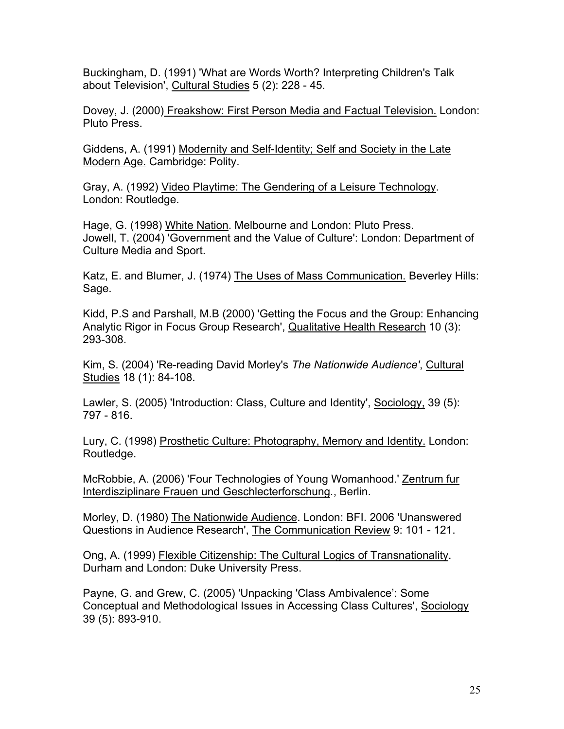Buckingham, D. (1991) 'What are Words Worth? Interpreting Children's Talk about Television', Cultural Studies 5 (2): 228 - 45.

Dovey, J. (2000) Freakshow: First Person Media and Factual Television. London: Pluto Press.

Giddens, A. (1991) Modernity and Self-Identity; Self and Society in the Late Modern Age. Cambridge: Polity.

Gray, A. (1992) Video Playtime: The Gendering of a Leisure Technology. London: Routledge.

Hage, G. (1998) White Nation. Melbourne and London: Pluto Press. Jowell, T. (2004) 'Government and the Value of Culture': London: Department of Culture Media and Sport.

Katz, E. and Blumer, J. (1974) The Uses of Mass Communication. Beverley Hills: Sage.

Kidd, P.S and Parshall, M.B (2000) 'Getting the Focus and the Group: Enhancing Analytic Rigor in Focus Group Research', Qualitative Health Research 10 (3): 293-308.

Kim, S. (2004) 'Re-reading David Morley's *The Nationwide Audience'*, Cultural Studies 18 (1): 84-108.

Lawler, S. (2005) 'Introduction: Class, Culture and Identity', Sociology, 39 (5): 797 - 816.

Lury, C. (1998) Prosthetic Culture: Photography, Memory and Identity. London: Routledge.

McRobbie, A. (2006) 'Four Technologies of Young Womanhood.' Zentrum fur Interdisziplinare Frauen und Geschlecterforschung*.*, Berlin.

Morley, D. (1980) The Nationwide Audience. London: BFI. 2006 'Unanswered Questions in Audience Research', The Communication Review 9: 101 - 121.

Ong, A. (1999) Flexible Citizenship: The Cultural Logics of Transnationality. Durham and London: Duke University Press.

Payne, G. and Grew, C. (2005) 'Unpacking 'Class Ambivalence': Some Conceptual and Methodological Issues in Accessing Class Cultures', Sociology 39 (5): 893-910.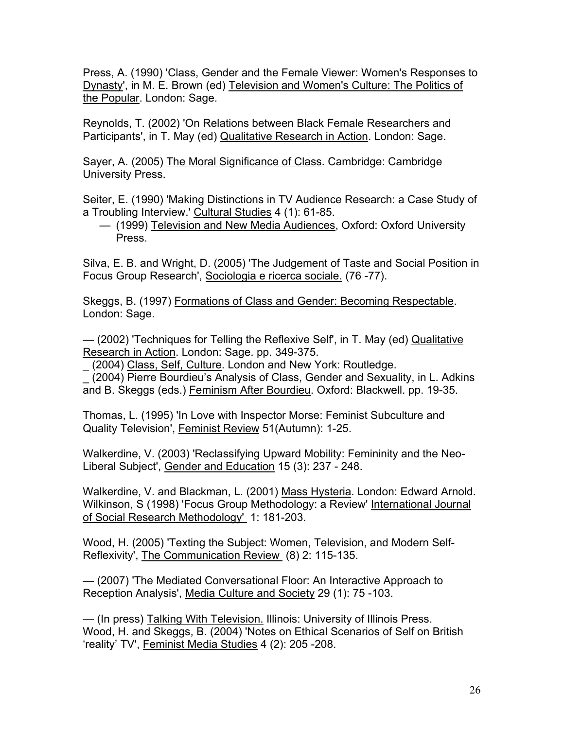Press, A. (1990) 'Class, Gender and the Female Viewer: Women's Responses to Dynasty', in M. E. Brown (ed) Television and Women's Culture: The Politics of the Popular. London: Sage.

Reynolds, T. (2002) 'On Relations between Black Female Researchers and Participants', in T. May (ed) Qualitative Research in Action. London: Sage.

Sayer, A. (2005) The Moral Significance of Class. Cambridge: Cambridge University Press.

Seiter, E. (1990) 'Making Distinctions in TV Audience Research: a Case Study of a Troubling Interview.' Cultural Studies 4 (1): 61-85.

— (1999) Television and New Media Audiences, Oxford: Oxford University Press.

Silva, E. B. and Wright, D. (2005) 'The Judgement of Taste and Social Position in Focus Group Research', Sociologia e ricerca sociale. (76 -77).

Skeggs, B. (1997) Formations of Class and Gender: Becoming Respectable. London: Sage.

— (2002) 'Techniques for Telling the Reflexive Self', in T. May (ed) Qualitative Research in Action. London: Sage. pp. 349-375.

(2004) Class, Self, Culture. London and New York: Routledge.

\_ (2004) Pierre Bourdieu's Analysis of Class, Gender and Sexuality, in L. Adkins and B. Skeggs (eds.) Feminism After Bourdieu. Oxford: Blackwell. pp. 19-35.

Thomas, L. (1995) 'In Love with Inspector Morse: Feminist Subculture and Quality Television', Feminist Review 51(Autumn): 1-25.

Walkerdine, V. (2003) 'Reclassifying Upward Mobility: Femininity and the Neo-Liberal Subject', Gender and Education 15 (3): 237 - 248.

Walkerdine, V. and Blackman, L. (2001) Mass Hysteria. London: Edward Arnold. Wilkinson, S (1998) 'Focus Group Methodology: a Review' International Journal of Social Research Methodology' 1: 181-203.

Wood, H. (2005) 'Texting the Subject: Women, Television, and Modern Self-Reflexivity', The Communication Review (8) 2: 115-135.

— (2007) 'The Mediated Conversational Floor: An Interactive Approach to Reception Analysis', Media Culture and Society 29 (1): 75 -103.

— (In press) Talking With Television. Illinois: University of Illinois Press. Wood, H. and Skeggs, B. (2004) 'Notes on Ethical Scenarios of Self on British 'reality' TV', Feminist Media Studies 4 (2): 205 -208.